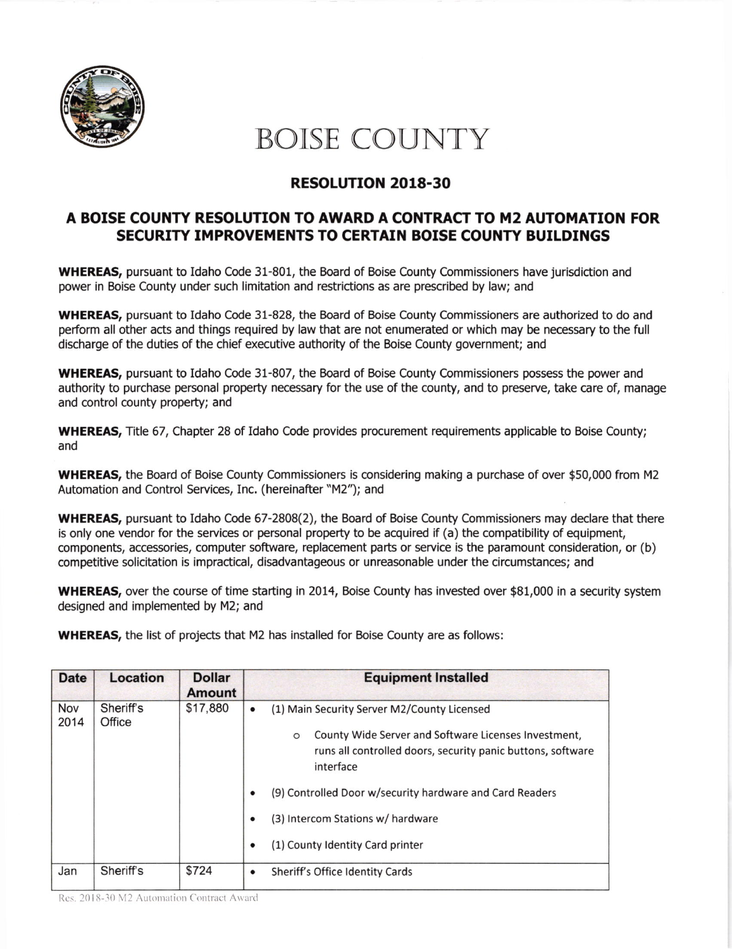

## BOISE COUNTY

## RESOLUTION 2018-30

## A BOISE COUNTY RESOLUTION TO AWARD A CONTRACT TO M2 AUTOMATION FOR SECURITY IMPROVEMENTS TO CERTAIN BOISE COUNTY BUILDINGS

WHEREAS, pursuant to Idaho Code 31-801, the Board of Boise County Commissioners have jurisdiction and power in Boise County under such limitation and restrictions as are prescribed by law; and

WHEREAS, pursuant to Idaho Code 31-828, the Board of Boise County Commissioners are authorized to do and perform all other acts and things required by law that are not enumerated or which may be necessary to the full discharge of the duties of the chief executive authority of the Boise County government; and

WHEREAS, pursuant to Idaho Code 31-807, the Board of Boise County Commissioners possess the power and authority to purchase personal property necessary for the use of the county, and to preserve, take care of, manage and control county property; and

WHEREAS, Title 57, Chapter 28 of Idaho Code provides procurement requirements applicable to Boise County; and

WHEREAS, the Eoard of Boise County Commissioners is considering making a purchase of over \$50,000 from M2 Automation and Control Services, Inc, (hereinafter "M2"); and

WHEREAS, pursuant to Idaho Code 67-2808(2), the Board of Boise County Commissioners may declare that there is only one vendor for the services or personal property to be acquired if (a) the compatibility of equipment, components, accessories, computer software, replacement pans or service is the paramount consideration, or (b) competitive solicitation is impractical, disadvantageous or unreasonable under the circumstances; and

WHEREAS, over the course of time starting in 2014, Boise County has invested over \$81,000 in a security system designed and implemented by M2; and

WHEREAS, the list of projects that M2 has installed for Boise County are as follows:

| Date        | Location            | <b>Dollar</b><br><b>Amount</b> | <b>Equipment Installed</b>                                                                                                                                                                                                                                                                                                      |
|-------------|---------------------|--------------------------------|---------------------------------------------------------------------------------------------------------------------------------------------------------------------------------------------------------------------------------------------------------------------------------------------------------------------------------|
| Nov<br>2014 | Sheriff's<br>Office | \$17,880                       | (1) Main Security Server M2/County Licensed<br>County Wide Server and Software Licenses Investment.<br>$\circ$<br>runs all controlled doors, security panic buttons, software<br>interface<br>(9) Controlled Door w/security hardware and Card Readers<br>(3) Intercom Stations w/ hardware<br>(1) County Identity Card printer |
| Jan         | Sheriff's           | \$724                          | Sheriff's Office Identity Cards                                                                                                                                                                                                                                                                                                 |

Res. 2018-30 M2 Automation Contract Award